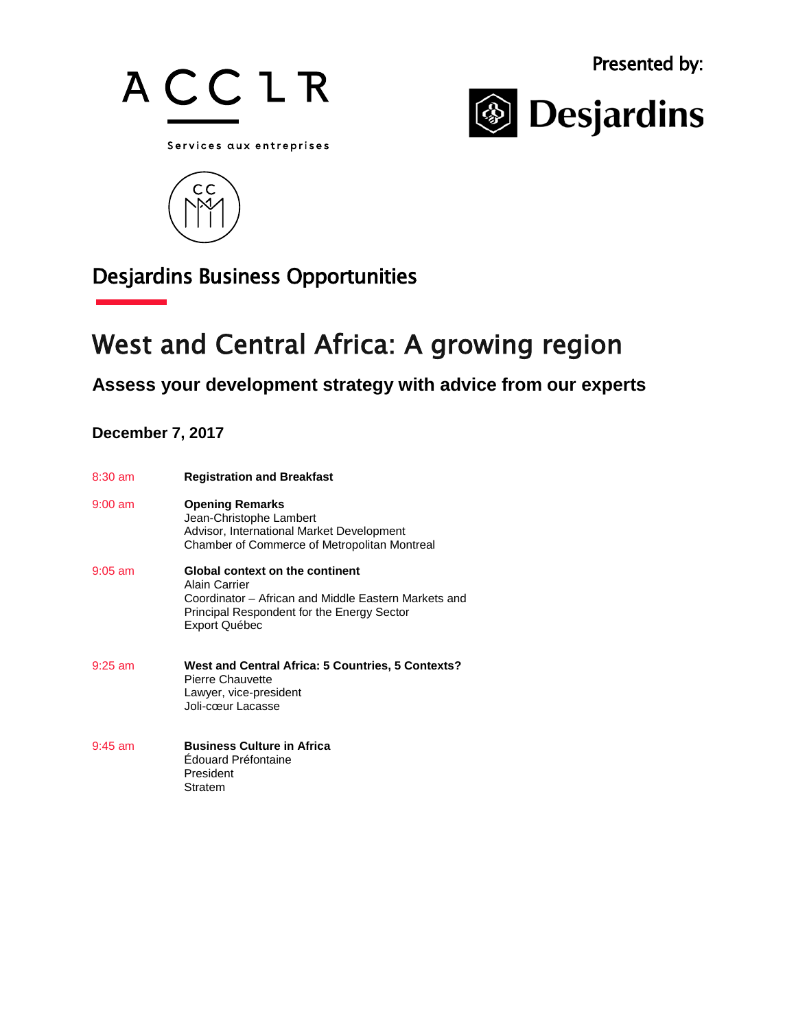



Services aux entreprises



## Desjardins Business Opportunities

# West and Central Africa: A growing region

## **Assess your development strategy with advice from our experts**

### **December 7, 2017**

| $8:30$ am | <b>Registration and Breakfast</b>                                                                                                                                              |
|-----------|--------------------------------------------------------------------------------------------------------------------------------------------------------------------------------|
| $9:00$ am | <b>Opening Remarks</b><br>Jean-Christophe Lambert<br>Advisor, International Market Development<br>Chamber of Commerce of Metropolitan Montreal                                 |
| $9:05$ am | <b>Global context on the continent</b><br>Alain Carrier<br>Coordinator – African and Middle Eastern Markets and<br>Principal Respondent for the Energy Sector<br>Export Québec |
| $9:25$ am | West and Central Africa: 5 Countries, 5 Contexts?<br>Pierre Chauvette<br>Lawyer, vice-president<br>Joli-cœur Lacasse                                                           |
| $9:45$ am | <b>Business Culture in Africa</b><br>Edouard Préfontaine<br>President<br>Stratem                                                                                               |